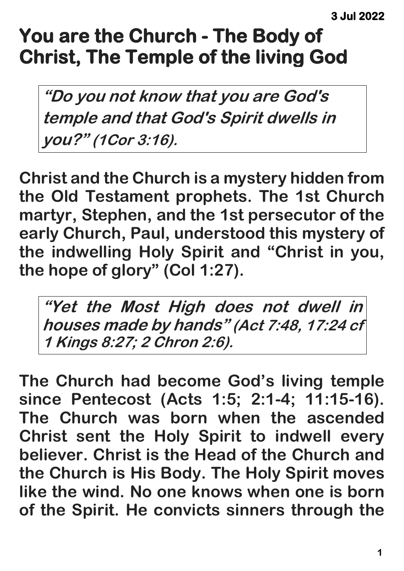## **You are the Church - The Body of Christ, The Temple of the living God**

**"Do you not know that you are God's temple and that God's Spirit dwells in you?" (1Cor 3:16).**

**Christ and the Church is a mystery hidden from the Old Testament prophets. The 1st Church martyr, Stephen, and the 1st persecutor of the early Church, Paul, understood this mystery of the indwelling Holy Spirit and "Christ in you, the hope of glory" (Col 1:27).**

**"Yet the Most High does not dwell in houses made by hands" (Act 7:48, 17:24 cf 1 Kings 8:27; 2 Chron 2:6).**

**The Church had become God's living temple since Pentecost (Acts 1:5; 2:1-4; 11:15-16). The Church was born when the ascended Christ sent the Holy Spirit to indwell every believer. Christ is the Head of the Church and the Church is His Body. The Holy Spirit moves like the wind. No one knows when one is born of the Spirit. He convicts sinners through the**